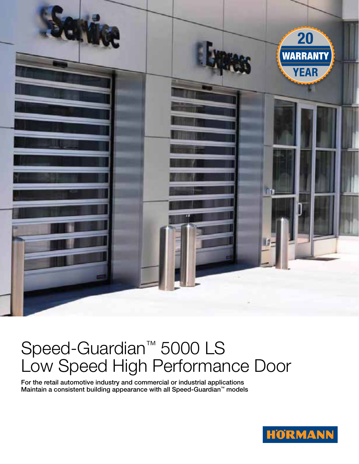

# Speed-Guardian™ 5000 LS Low Speed High Performance Door

For the retail automotive industry and commercial or industrial applications Maintain a consistent building appearance with all Speed-Guardian™ models

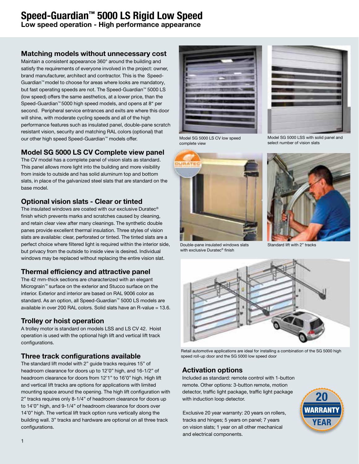# Speed-Guardian™ 5000 LS Rigid Low Speed Low speed operation - High performance appearance

#### Matching models without unnecessary cost

Maintain a consistent appearance 360° around the building and satisfy the requirements of everyone involved in the project: owner, brand manufacturer, architect and contractor. This is the Speed-Guardian™ model to choose for areas where looks are mandatory, but fast operating speeds are not. The Speed-Guardian™ 5000 LS (low speed) offers the same aesthetics, at a lower price, than the Speed-Guardian™ 5000 high speed models, and opens at 8" per second. Peripheral service entrances and exits are where this door will shine, with moderate cycling speeds and all of the high performance features such as insulated panel, double-pane scratch resistant vision, security and matching RAL colors (optional) that our other high speed Speed-Guardian™ models offer.

# Model SG 5000 LS CV Complete view panel

The CV model has a complete panel of vision slats as standard. This panel allows more light into the building and more visibility from inside to outside and has solid aluminum top and bottom slats, in place of the galvanized steel slats that are standard on the base model.

#### Optional vision slats - Clear or tinted

The insulated windows are coated with our exclusive Duratec® finish which prevents marks and scratches caused by cleaning, and retain clear view after many cleanings. The synthetic double panes provide excellent thermal insulation. Three styles of vision slats are available: clear, perforated or tinted. The tinted slats are a perfect choice where filtered light is required within the interior side, but privacy from the outside to inside view is desired. Individual windows may be replaced without replacing the entire vision slat.

#### Thermal efficiency and attractive panel

The 42 mm-thick sections are characterized with an elegant Micrograin™ surface on the exterior and Stucco surface on the interior. Exterior and interior are based on RAL 9006 color as standard. As an option, all Speed-Guardian™ 5000 LS models are available in over 200 RAL colors. Solid slats have an R-value = 13.6.

#### Trolley or hoist operation

A trolley motor is standard on models LSS and LS CV 42. Hoist operation is used with the optional high lift and vertical lift track configurations.

#### Three track configurations available

The standard lift model with 2" guide tracks requires 15" of headroom clearance for doors up to 12'0" high, and 16-1/2" of headroom clearance for doors from 12'1" to 16'0" high. High lift and vertical lift tracks are options for applications with limited mounting space around the opening. The high lift configuration with 2" tracks requires only 8-1/4" of headroom clearance for doors up to 14'0" high, and 9-1/4" of headroom clearance for doors over 14'0" high. The vertical lift track option runs vertically along the building wall. 3" tracks and hardware are optional on all three track configurations.



Model SG 5000 LS CV low speed complete view



Double-pane insulated windows slats with exclusive Duratec® finish



Model SG 5000 LSS with solid panel and select number of vision slats



Standard lift with 2" tracks



Retail automotive applications are ideal for installing a combination of the SG 5000 high speed roll-up door and the SG 5000 low speed door

#### Activation options

Included as standard: remote control with 1-button remote. Other options: 3-button remote, motion detector, traffic light package, traffic light package with induction loop detector.

Exclusive 20 year warranty: 20 years on rollers, tracks and hinges; 5 years on panel; 7 years on vision slats; 1 year on all other mechanical and electrical components.

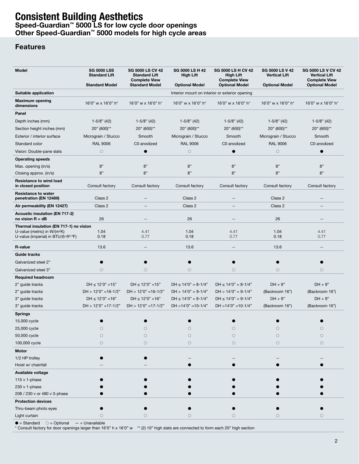# Consistent Building Aesthetics Speed-Guardian™ 5000 LS for low cycle door openings Other Speed-Guardian™ 5000 models for high cycle areas

#### Features

| Model                                                                                         | <b>SG 5000 LSS</b><br><b>Standard Lift</b> | SG 5000 LS CV 42<br><b>Standard Lift</b><br><b>Complete View</b> | SG 5000 LS H 42<br><b>High Lift</b> | <b>SG 5000 LS H CV 42</b><br><b>High Lift</b><br><b>Complete View</b> | SG 5000 LS V 42<br><b>Vertical Lift</b> | SG 5000 LS V CV 42<br><b>Vertical Lift</b><br><b>Complete View</b> |
|-----------------------------------------------------------------------------------------------|--------------------------------------------|------------------------------------------------------------------|-------------------------------------|-----------------------------------------------------------------------|-----------------------------------------|--------------------------------------------------------------------|
|                                                                                               | <b>Standard Model</b>                      | <b>Standard Model</b>                                            | <b>Optional Model</b>               | <b>Optional Model</b>                                                 | <b>Optional Model</b>                   | <b>Optional Model</b>                                              |
| Suitable application<br>Interior mount on interior or exterior opening                        |                                            |                                                                  |                                     |                                                                       |                                         |                                                                    |
| <b>Maximum opening</b><br>dimensions                                                          | 16'0" w x 16'0" h*                         | 16'0" w x 16'0" h*                                               | 16'0" w x 16'0" h*                  | 16'0" w x 16'0" h*                                                    | 16'0" w x 16'0" h*                      | 16'0" w x 16'0" h*                                                 |
| Panel                                                                                         |                                            |                                                                  |                                     |                                                                       |                                         |                                                                    |
| Depth inches (mm)                                                                             | $1-5/8"$ (42)                              | $1-5/8"$ (42)                                                    | $1-5/8"$ (42)                       | $1-5/8$ " (42)                                                        | $1-5/8"$ (42)                           | $1-5/8"$ (42)                                                      |
| Section height inches (mm)                                                                    | 20" (600)**                                | 20" (600)**                                                      | 20" (600)**                         | 20" (600)**                                                           | 20" (600)**                             | 20" (600)**                                                        |
| Exterior / interior surface                                                                   | Micrograin / Stucco                        | Smooth                                                           | Micrograin / Stucco                 | Smooth                                                                | Micrograin / Stucco                     | Smooth                                                             |
| Standard color                                                                                | <b>RAL 9006</b>                            | C0 anodized                                                      | <b>RAL 9006</b>                     | C0 anodized                                                           | <b>RAL 9006</b>                         | C0 anodized                                                        |
| Vision: Double-pane slats                                                                     | $\circ$                                    | ●                                                                | $\circ$                             |                                                                       | $\circ$                                 |                                                                    |
| <b>Operating speeds</b>                                                                       |                                            |                                                                  |                                     |                                                                       |                                         |                                                                    |
| Max. opening (in/s)                                                                           | 8"                                         | 8"                                                               | 8"                                  | 8"                                                                    | 8"                                      | 8"                                                                 |
| Closing approx. (in/s)                                                                        | 8"                                         | 8"                                                               | 8"                                  | 8"                                                                    | 8"                                      | 8"                                                                 |
| Resistance to wind load<br>in closed position                                                 | Consult factory                            | Consult factory                                                  | Consult factory                     | Consult factory                                                       | Consult factory                         | Consult factory                                                    |
| <b>Resistance to water</b><br>penetration (EN 12489)                                          | Class 2                                    |                                                                  | Class 2                             |                                                                       | Class 2                                 |                                                                    |
| Air permeability (EN 12427)                                                                   | Class 2                                    |                                                                  | Class 2                             |                                                                       | Class 2                                 |                                                                    |
| Acoustic insulation (EN 717-2)<br>no vision $R = dB$                                          | 26                                         |                                                                  | 26                                  |                                                                       | 26                                      |                                                                    |
| Thermal insulation (EN 717-1) no vision                                                       |                                            |                                                                  |                                     |                                                                       |                                         |                                                                    |
| U-value (metric) in W/(m <sup>2</sup> K)<br>U-value (imperial) in BTU/(h·ft <sup>2</sup> ·°F) | 1.04<br>0.18                               | 4.41<br>0.77                                                     | 1.04<br>0.18                        | 4.41<br>0.77                                                          | 1.04<br>0.18                            | 4.41<br>0.77                                                       |
| R-value                                                                                       | 13.6                                       |                                                                  | 13.6                                |                                                                       | 13.6                                    |                                                                    |
| <b>Guide tracks</b>                                                                           |                                            |                                                                  |                                     |                                                                       |                                         |                                                                    |
| Galvanized steel 2"                                                                           |                                            |                                                                  |                                     |                                                                       |                                         |                                                                    |
| Galvanized steel 3"                                                                           | $\circ$                                    | $\circ$                                                          | $\circ$                             | $\circ$                                                               | $\circ$                                 | $\circ$                                                            |
| <b>Required headroom</b>                                                                      |                                            |                                                                  |                                     |                                                                       |                                         |                                                                    |
| 2" guide tracks                                                                               | DH $\leq$ 12'0" = 15"                      | $DH \leq 12'0'' = 15''$                                          | $DH \leq 14'0'' = 8-1/4''$          | $DH \leq 14'0'' = 8-1/4''$                                            | $DH + 9"$                               | $DH + 9"$                                                          |
| 2" guide tracks                                                                               | $DH > 12'0" = 16-1/2"$                     | $DH > 12'0" = 16-1/2"$                                           | $DH > 14'0'' = 9-1/4''$             | $DH > 14'0'' = 9-1/4''$                                               | (Backroom 16")                          | (Backroom 16")                                                     |
| 3" guide tracks                                                                               | $DH \le 12'0'' = 16''$                     | $DH \le 12'0'' = 16''$                                           | $DH \leq 14'0'' = 9-1/4''$          | $DH \leq 14'0'' = 9-1/4''$                                            | $DH + 9"$                               | $DH + 9"$                                                          |
| 3" guide tracks                                                                               | $DH > 12'0" = 17-1/2"$                     | $DH > 12'0'' = 17-1/2''$                                         | $DH > 14'0" = 10-1/4"$              | $DH > 14'0'' = 10-1/4''$                                              | (Backroom 16")                          | (Backroom 16")                                                     |
| <b>Springs</b>                                                                                |                                            |                                                                  |                                     |                                                                       |                                         |                                                                    |
| 15,000 cycle                                                                                  |                                            |                                                                  |                                     |                                                                       |                                         |                                                                    |
| 25,000 cycle                                                                                  |                                            |                                                                  |                                     |                                                                       |                                         |                                                                    |
| 50,000 cycle                                                                                  |                                            |                                                                  |                                     |                                                                       |                                         |                                                                    |
| 100,000 cycle                                                                                 | Ω                                          | O                                                                | $\circ$                             | $\circ$                                                               | $\circ$                                 | О                                                                  |
| <b>Motor</b>                                                                                  |                                            |                                                                  |                                     |                                                                       |                                         |                                                                    |
| 1/2 HP trolley                                                                                |                                            |                                                                  |                                     |                                                                       |                                         |                                                                    |
| Hoist w/ chainfall                                                                            |                                            |                                                                  |                                     |                                                                       |                                         |                                                                    |
| Available voltage                                                                             |                                            |                                                                  |                                     |                                                                       |                                         |                                                                    |
| 115 $v$ 1-phase                                                                               |                                            |                                                                  |                                     |                                                                       |                                         |                                                                    |
| $230 v 1$ -phase                                                                              |                                            |                                                                  |                                     |                                                                       |                                         |                                                                    |
| 208 / 230 v or 480 v 3-phase                                                                  |                                            |                                                                  |                                     |                                                                       |                                         |                                                                    |
| <b>Protection devices</b>                                                                     |                                            |                                                                  |                                     |                                                                       |                                         |                                                                    |
| Thru-beam photo eyes                                                                          |                                            |                                                                  |                                     |                                                                       |                                         |                                                                    |
| Light curtain                                                                                 |                                            |                                                                  |                                     |                                                                       |                                         |                                                                    |

 $\bullet$  = Standard  $\circ$  = Optional  $\bullet$  = Unavailable

\* Consult factory for door openings larger than 16'0" h x 16'0" w \*\* (2) 10" high slats are connected to form each 20" high section